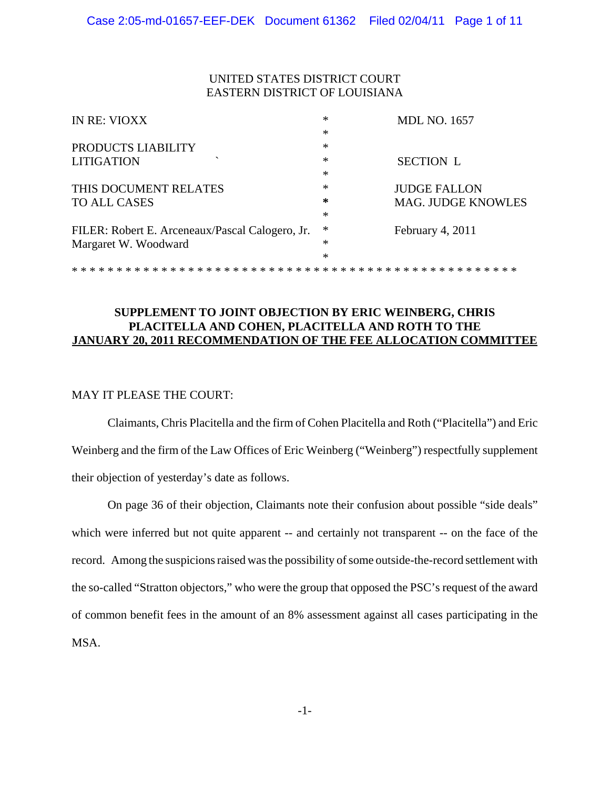## UNITED STATES DISTRICT COURT EASTERN DISTRICT OF LOUISIANA

| IN RE: VIOXX                                    | ∗      | <b>MDL NO. 1657</b>       |
|-------------------------------------------------|--------|---------------------------|
|                                                 | *      |                           |
| PRODUCTS LIABILITY                              | ∗      |                           |
| <b>LITIGATION</b>                               | $\ast$ | <b>SECTION L</b>          |
|                                                 | ∗      |                           |
| THIS DOCUMENT RELATES                           | ∗      | <b>JUDGE FALLON</b>       |
| <b>TO ALL CASES</b>                             | ∗      | <b>MAG. JUDGE KNOWLES</b> |
|                                                 | *      |                           |
| FILER: Robert E. Arceneaux/Pascal Calogero, Jr. | ∗      | February 4, 2011          |
| Margaret W. Woodward                            | ∗      |                           |
|                                                 | *      |                           |
|                                                 |        |                           |

## **SUPPLEMENT TO JOINT OBJECTION BY ERIC WEINBERG, CHRIS PLACITELLA AND COHEN, PLACITELLA AND ROTH TO THE JANUARY 20, 2011 RECOMMENDATION OF THE FEE ALLOCATION COMMITTEE**

#### MAY IT PLEASE THE COURT:

Claimants, Chris Placitella and the firm of Cohen Placitella and Roth ("Placitella") and Eric Weinberg and the firm of the Law Offices of Eric Weinberg ("Weinberg") respectfully supplement their objection of yesterday's date as follows.

On page 36 of their objection, Claimants note their confusion about possible "side deals" which were inferred but not quite apparent -- and certainly not transparent -- on the face of the record. Among the suspicions raised was the possibility of some outside-the-record settlement with the so-called "Stratton objectors," who were the group that opposed the PSC's request of the award of common benefit fees in the amount of an 8% assessment against all cases participating in the MSA.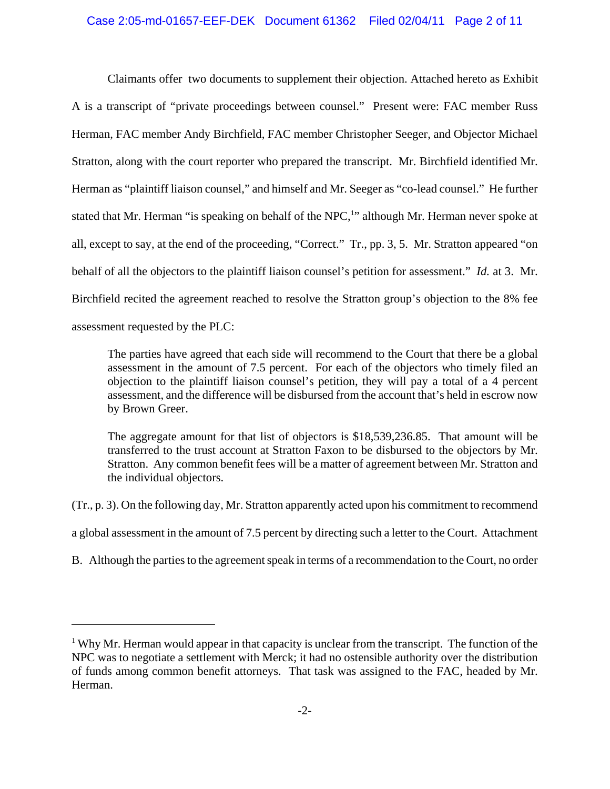# Case 2:05-md-01657-EEF-DEK Document 61362 Filed 02/04/11 Page 2 of 11

Claimants offer two documents to supplement their objection. Attached hereto as Exhibit A is a transcript of "private proceedings between counsel." Present were: FAC member Russ Herman, FAC member Andy Birchfield, FAC member Christopher Seeger, and Objector Michael Stratton, along with the court reporter who prepared the transcript. Mr. Birchfield identified Mr. Herman as "plaintiff liaison counsel," and himself and Mr. Seeger as "co-lead counsel." He further stated that Mr. Herman "is speaking on behalf of the NPC,<sup>1</sup>" although Mr. Herman never spoke at all, except to say, at the end of the proceeding, "Correct." Tr., pp. 3, 5. Mr. Stratton appeared "on behalf of all the objectors to the plaintiff liaison counsel's petition for assessment." *Id.* at 3. Mr. Birchfield recited the agreement reached to resolve the Stratton group's objection to the 8% fee assessment requested by the PLC:

The parties have agreed that each side will recommend to the Court that there be a global assessment in the amount of 7.5 percent. For each of the objectors who timely filed an objection to the plaintiff liaison counsel's petition, they will pay a total of a 4 percent assessment, and the difference will be disbursed from the account that's held in escrow now by Brown Greer.

The aggregate amount for that list of objectors is \$18,539,236.85. That amount will be transferred to the trust account at Stratton Faxon to be disbursed to the objectors by Mr. Stratton. Any common benefit fees will be a matter of agreement between Mr. Stratton and the individual objectors.

(Tr., p. 3). On the following day, Mr. Stratton apparently acted upon his commitment to recommend

a global assessment in the amount of 7.5 percent by directing such a letter to the Court. Attachment

B. Although the parties to the agreement speak in terms of a recommendation to the Court, no order

 $1$  Why Mr. Herman would appear in that capacity is unclear from the transcript. The function of the NPC was to negotiate a settlement with Merck; it had no ostensible authority over the distribution of funds among common benefit attorneys. That task was assigned to the FAC, headed by Mr. Herman.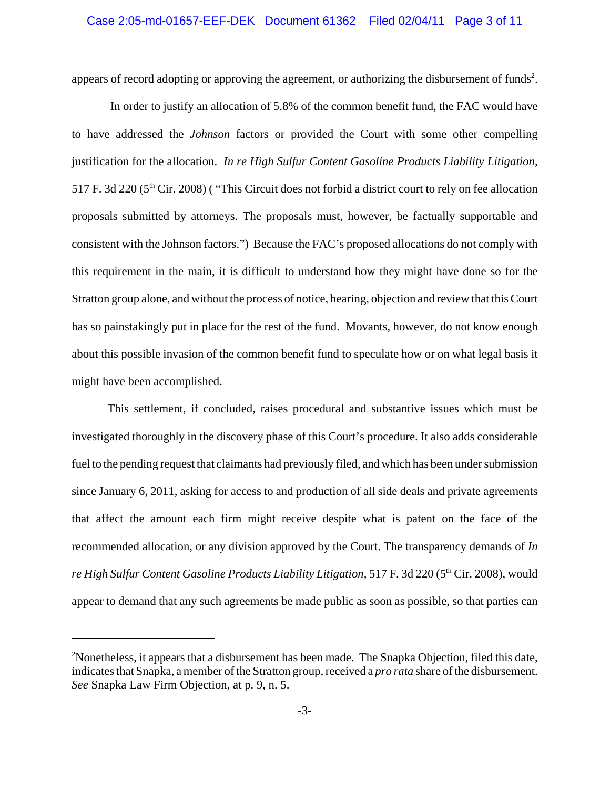appears of record adopting or approving the agreement, or authorizing the disbursement of funds<sup>2</sup>.

 In order to justify an allocation of 5.8% of the common benefit fund, the FAC would have to have addressed the *Johnson* factors or provided the Court with some other compelling justification for the allocation. *In re High Sulfur Content Gasoline Products Liability Litigation,* 517 F. 3d 220 (5th Cir. 2008) ( "This Circuit does not forbid a district court to rely on fee allocation proposals submitted by attorneys. The proposals must, however, be factually supportable and consistent with the Johnson factors.") Because the FAC's proposed allocations do not comply with this requirement in the main, it is difficult to understand how they might have done so for the Stratton group alone, and without the process of notice, hearing, objection and review that this Court has so painstakingly put in place for the rest of the fund. Movants, however, do not know enough about this possible invasion of the common benefit fund to speculate how or on what legal basis it might have been accomplished.

This settlement, if concluded, raises procedural and substantive issues which must be investigated thoroughly in the discovery phase of this Court's procedure. It also adds considerable fuel to the pending request that claimants had previously filed, and which has been under submission since January 6, 2011, asking for access to and production of all side deals and private agreements that affect the amount each firm might receive despite what is patent on the face of the recommended allocation, or any division approved by the Court. The transparency demands of *In* re High Sulfur Content Gasoline Products Liability Litigation, 517 F. 3d 220 (5<sup>th</sup> Cir. 2008), would appear to demand that any such agreements be made public as soon as possible, so that parties can

<sup>&</sup>lt;sup>2</sup>Nonetheless, it appears that a disbursement has been made. The Snapka Objection, filed this date, indicates that Snapka, a member of the Stratton group, received a *pro rata* share of the disbursement. *See* Snapka Law Firm Objection, at p. 9, n. 5.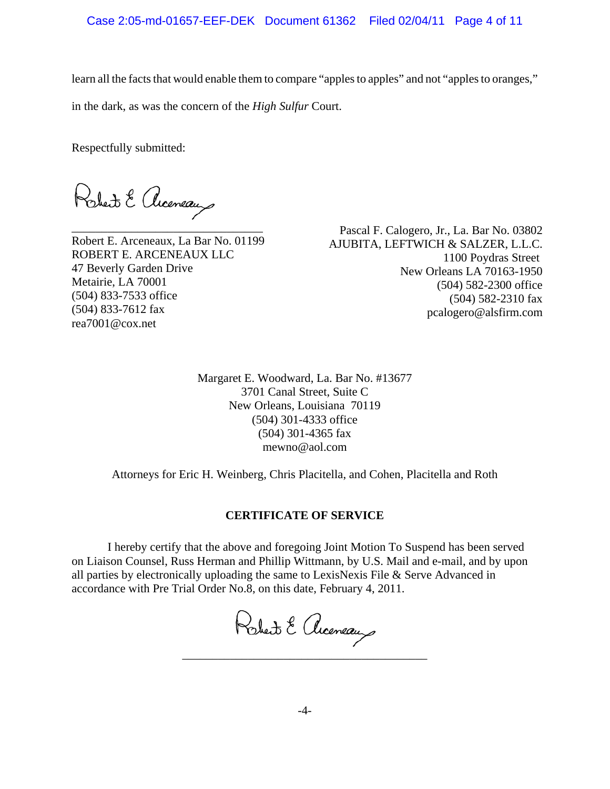learn all the facts that would enable them to compare "apples to apples" and not "apples to oranges,"

in the dark, as was the concern of the *High Sulfur* Court.

Respectfully submitted:

Robert & Acceneaux

\_\_\_\_\_\_\_\_\_\_\_\_\_\_\_\_\_\_\_\_\_\_\_\_\_\_\_\_\_\_\_\_ Robert E. Arceneaux, La Bar No. 01199 ROBERT E. ARCENEAUX LLC 47 Beverly Garden Drive Metairie, LA 70001 (504) 833-7533 office (504) 833-7612 fax rea7001@cox.net

Pascal F. Calogero, Jr., La. Bar No. 03802 AJUBITA, LEFTWICH & SALZER, L.L.C. 1100 Poydras Street New Orleans LA 70163-1950 (504) 582-2300 office (504) 582-2310 fax pcalogero@alsfirm.com

Margaret E. Woodward, La. Bar No. #13677 3701 Canal Street, Suite C New Orleans, Louisiana 70119 (504) 301-4333 office (504) 301-4365 fax mewno@aol.com

Attorneys for Eric H. Weinberg, Chris Placitella, and Cohen, Placitella and Roth

# **CERTIFICATE OF SERVICE**

I hereby certify that the above and foregoing Joint Motion To Suspend has been served on Liaison Counsel, Russ Herman and Phillip Wittmann, by U.S. Mail and e-mail, and by upon all parties by electronically uploading the same to LexisNexis File & Serve Advanced in accordance with Pre Trial Order No.8, on this date, February 4, 2011.

Robert & Acceneaux

\_\_\_\_\_\_\_\_\_\_\_\_\_\_\_\_\_\_\_\_\_\_\_\_\_\_\_\_\_\_\_\_\_\_\_\_\_\_\_\_\_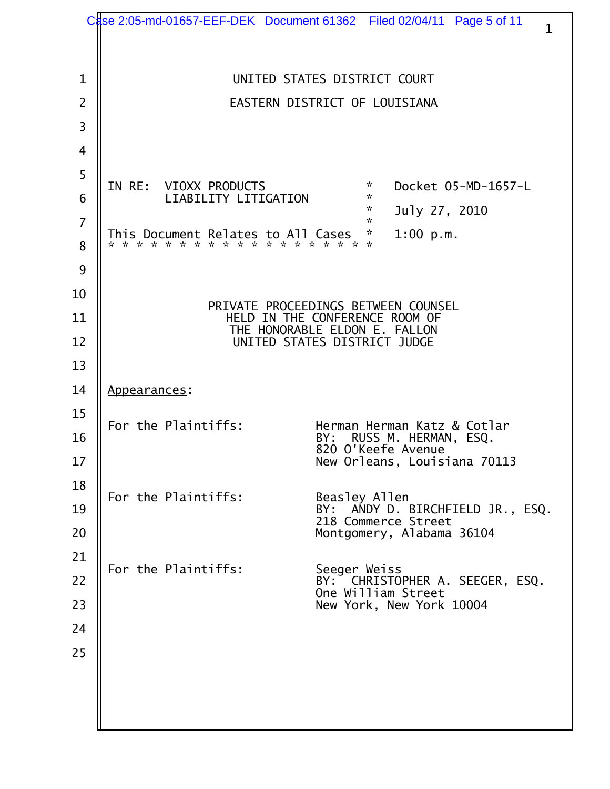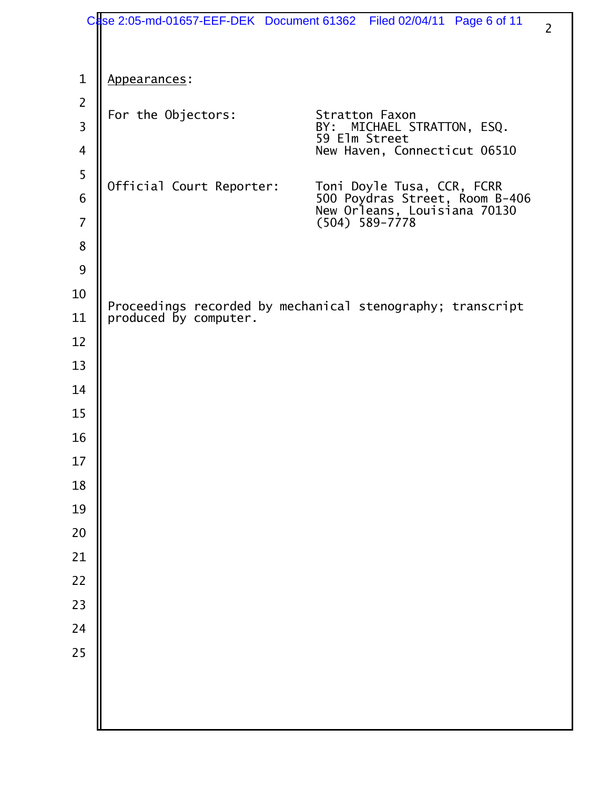|                     |                          | se 2:05-md-01657-EEF-DEK Document 61362    Filed 02/04/11    Page 6 of 11                    | $\overline{2}$ |
|---------------------|--------------------------|----------------------------------------------------------------------------------------------|----------------|
|                     |                          |                                                                                              |                |
| $\mathbf{1}$        | Appearances:             |                                                                                              |                |
| $\overline{2}$<br>3 | For the Objectors:       | Stratton Faxon<br>BY: MICHAEL STRATTON, ESQ.                                                 |                |
| 4                   |                          | 59 Elm Street<br>New Haven, Connecticut 06510                                                |                |
| 5                   | Official Court Reporter: |                                                                                              |                |
| 6                   |                          | Toni Doyle Tusa, CCR, FCRR<br>500 Poydras Street, Room B-406<br>New Orleans, Louisiana 70130 |                |
| 7                   |                          | $(504)$ 589-7778                                                                             |                |
| 8                   |                          |                                                                                              |                |
| 9                   |                          |                                                                                              |                |
| 10                  |                          | Proceedings recorded by mechanical stenography; transcript                                   |                |
| 11<br>12            | produced by computer.    |                                                                                              |                |
| 13                  |                          |                                                                                              |                |
| 14                  |                          |                                                                                              |                |
| 15                  |                          |                                                                                              |                |
| 16                  |                          |                                                                                              |                |
| $17\,$              |                          |                                                                                              |                |
| 18                  |                          |                                                                                              |                |
| 19                  |                          |                                                                                              |                |
| 20                  |                          |                                                                                              |                |
| 21                  |                          |                                                                                              |                |
| 22                  |                          |                                                                                              |                |
| 23                  |                          |                                                                                              |                |
| 24                  |                          |                                                                                              |                |
| 25                  |                          |                                                                                              |                |
|                     |                          |                                                                                              |                |
|                     |                          |                                                                                              |                |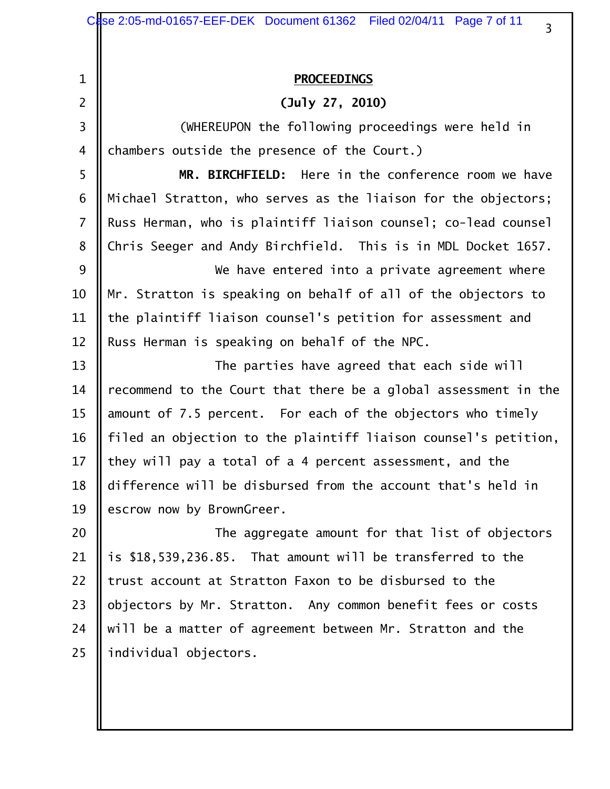|                | Case 2:05-md-01657-EEF-DEK Document 61362 Filed 02/04/11 Page 7 of 11<br>3 |
|----------------|----------------------------------------------------------------------------|
|                |                                                                            |
| 1              | <b>PROCEEDINGS</b>                                                         |
| $\overline{2}$ | (July 27, 2010)                                                            |
| 3              | (WHEREUPON the following proceedings were held in                          |
| 4              | chambers outside the presence of the Court.)                               |
| 5              | MR. BIRCHFIELD: Here in the conference room we have                        |
| 6              | Michael Stratton, who serves as the liaison for the objectors;             |
| $\overline{7}$ | Russ Herman, who is plaintiff liaison counsel; co-lead counsel             |
| 8              | Chris Seeger and Andy Birchfield. This is in MDL Docket 1657.              |
| 9              | We have entered into a private agreement where                             |
| 10             | Mr. Stratton is speaking on behalf of all of the objectors to              |
| 11             | the plaintiff liaison counsel's petition for assessment and                |
| 12             | Russ Herman is speaking on behalf of the NPC.                              |
| 13             | The parties have agreed that each side will                                |
| 14             | recommend to the Court that there be a global assessment in the            |
| 15             | amount of 7.5 percent. For each of the objectors who timely                |
| 16             | filed an objection to the plaintiff liaison counsel's petition,            |
| 17             | they will pay a total of a 4 percent assessment, and the                   |
| 18             | difference will be disbursed from the account that's held in               |
| 19             | escrow now by BrownGreer.                                                  |
| 20             | The aggregate amount for that list of objectors                            |
| 21             | is \$18,539,236.85. That amount will be transferred to the                 |
| 22             | trust account at Stratton Faxon to be disbursed to the                     |
| 23             | objectors by Mr. Stratton. Any common benefit fees or costs                |
| 24             | will be a matter of agreement between Mr. Stratton and the                 |
| 25             | individual objectors.                                                      |
|                |                                                                            |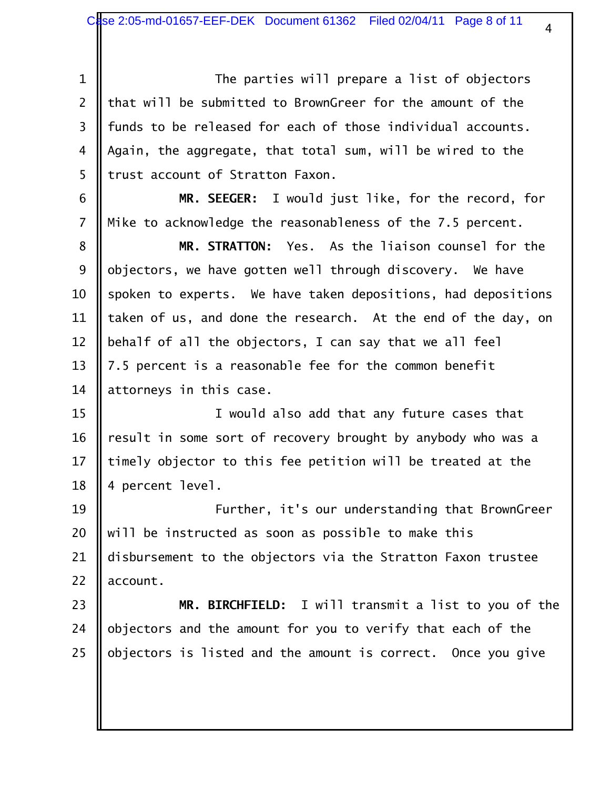1 The parties will prepare a list of objectors 2  $\parallel$  that will be submitted to BrownGreer for the amount of the 3 || funds to be released for each of those individual accounts. 4 || Again, the aggregate, that total sum, will be wired to the 5 I trust account of Stratton Faxon.

 6 **MR. SEEGER:** I would just like, for the record, for 7 || Mike to acknowledge the reasonableness of the 7.5 percent.

 **MR. STRATTON:** Yes. As the liaison counsel for the  $\parallel$  objectors, we have gotten well through discovery. We have 10 Spoken to experts. We have taken depositions, had depositions 11 || taken of us, and done the research. At the end of the day, on  $\parallel$  behalf of all the objectors, I can say that we all feel  $\parallel$  7.5 percent is a reasonable fee for the common benefit  $\parallel$  attorneys in this case.

15 || I would also add that any future cases that 16 | result in some sort of recovery brought by anybody who was a 17  $\parallel$  timely objector to this fee petition will be treated at the 18 || 4 percent level.

19 Further, it's our understanding that BrownGreer 20  $\parallel$  will be instructed as soon as possible to make this 21 disbursement to the objectors via the Stratton Faxon trustee 22  $\parallel$  account.

23 **MR. BIRCHFIELD:** I will transmit a list to you of the 24  $\parallel$  objectors and the amount for you to verify that each of the 25  $\parallel$  objectors is listed and the amount is correct. Once you give

4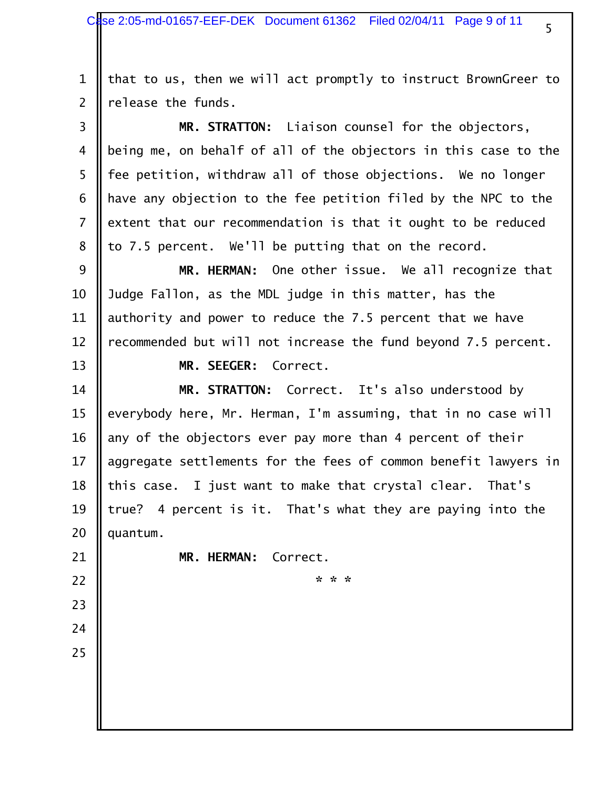1  $\parallel$  that to us, then we will act promptly to instruct BrownGreer to 2  $\parallel$  release the funds.

 3 **MR. STRATTON:** Liaison counsel for the objectors, 4 | being me, on behalf of all of the objectors in this case to the 5 || fee petition, withdraw all of those objections. We no longer 6  $\parallel$  have any objection to the fee petition filed by the NPC to the 7 | extent that our recommendation is that it ought to be reduced 8 || to 7.5 percent. We'll be putting that on the record.

 9 **MR. HERMAN:** One other issue. We all recognize that 10 Judge Fallon, as the MDL judge in this matter, has the 11 || authority and power to reduce the 7.5 percent that we have 12 | recommended but will not increase the fund beyond 7.5 percent.

13 **MR. SEEGER:** Correct.

 **MR. STRATTON:** Correct. It's also understood by  $\parallel$  everybody here, Mr. Herman, I'm assuming, that in no case will  $\parallel$  any of the objectors ever pay more than 4 percent of their 17 || aggregate settlements for the fees of common benefit lawyers in  $\parallel$  this case. I just want to make that crystal clear. That's  $\parallel$  true? 4 percent is it. That's what they are paying into the  $\parallel$  quantum.

21 **MR. HERMAN:** Correct.

23

24

25

22 **\* \* \*** 

5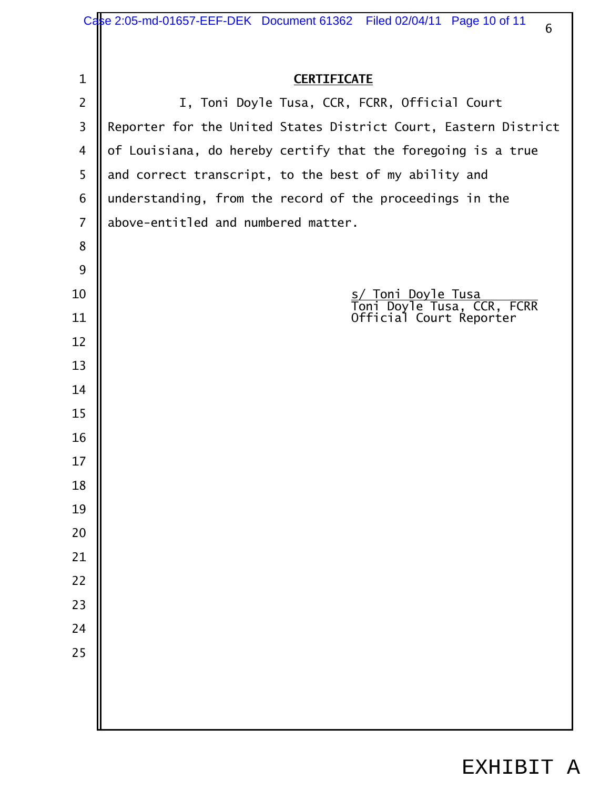|                | Case 2:05-md-01657-EEF-DEK Document 61362 Filed 02/04/11 Page 10 of 11<br>6 |
|----------------|-----------------------------------------------------------------------------|
|                |                                                                             |
| 1              | <b>CERTIFICATE</b>                                                          |
| $\overline{2}$ | I, Toni Doyle Tusa, CCR, FCRR, Official Court                               |
| 3              | Reporter for the United States District Court, Eastern District             |
| 4              | of Louisiana, do hereby certify that the foregoing is a true                |
| 5              | and correct transcript, to the best of my ability and                       |
| 6              | understanding, from the record of the proceedings in the                    |
| $\overline{7}$ | above-entitled and numbered matter.                                         |
| 8              |                                                                             |
| 9              |                                                                             |
| 10             | s/ Toni Doyle Tusa<br>Toni Doyle Tusa, CCR, FCRR                            |
| 11             | Official Court Reporter                                                     |
| 12             |                                                                             |
| 13             |                                                                             |
| 14             |                                                                             |
| 15             |                                                                             |
| 16             |                                                                             |
| 17             |                                                                             |
| 18             |                                                                             |
| 19             |                                                                             |
| 20             |                                                                             |
| 21             |                                                                             |
| 22             |                                                                             |
| 23             |                                                                             |
| 24             |                                                                             |
| 25             |                                                                             |
|                |                                                                             |
|                |                                                                             |